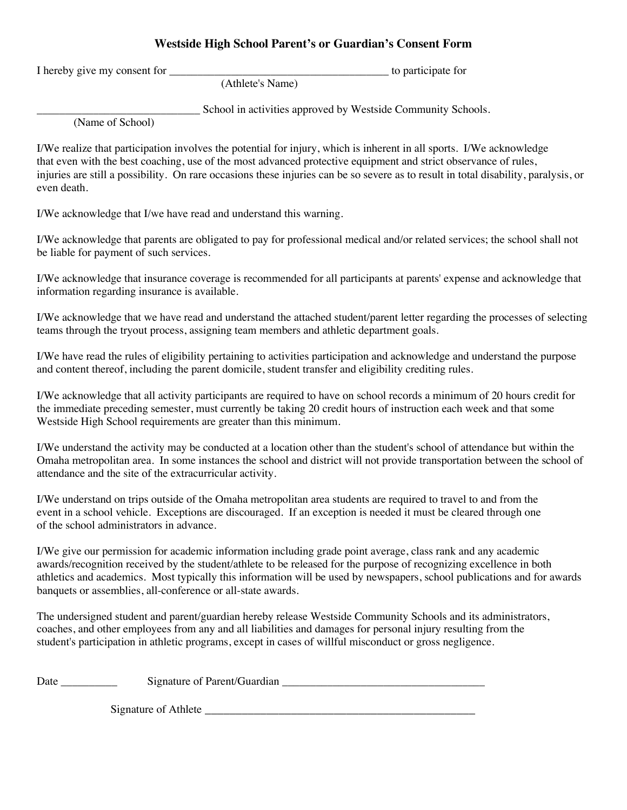## **Westside High School Parent's or Guardian's Consent Form**

I hereby give my consent for \_\_\_\_\_\_\_\_\_\_\_\_\_\_\_\_\_\_\_\_\_\_\_\_\_\_\_\_\_\_\_\_\_\_\_\_\_\_\_ to participate for

(Athlete's Name)

\_\_\_\_\_\_\_\_\_\_\_\_\_\_\_\_\_\_\_\_\_\_\_\_\_\_\_\_\_ School in activities approved by Westside Community Schools.

(Name of School)

I/We realize that participation involves the potential for injury, which is inherent in all sports. I/We acknowledge that even with the best coaching, use of the most advanced protective equipment and strict observance of rules, injuries are still a possibility. On rare occasions these injuries can be so severe as to result in total disability, paralysis, or even death.

I/We acknowledge that I/we have read and understand this warning.

I/We acknowledge that parents are obligated to pay for professional medical and/or related services; the school shall not be liable for payment of such services.

I/We acknowledge that insurance coverage is recommended for all participants at parents' expense and acknowledge that information regarding insurance is available.

I/We acknowledge that we have read and understand the attached student/parent letter regarding the processes of selecting teams through the tryout process, assigning team members and athletic department goals.

I/We have read the rules of eligibility pertaining to activities participation and acknowledge and understand the purpose and content thereof, including the parent domicile, student transfer and eligibility crediting rules.

I/We acknowledge that all activity participants are required to have on school records a minimum of 20 hours credit for the immediate preceding semester, must currently be taking 20 credit hours of instruction each week and that some Westside High School requirements are greater than this minimum.

I/We understand the activity may be conducted at a location other than the student's school of attendance but within the Omaha metropolitan area. In some instances the school and district will not provide transportation between the school of attendance and the site of the extracurricular activity.

I/We understand on trips outside of the Omaha metropolitan area students are required to travel to and from the event in a school vehicle. Exceptions are discouraged. If an exception is needed it must be cleared through one of the school administrators in advance.

I/We give our permission for academic information including grade point average, class rank and any academic awards/recognition received by the student/athlete to be released for the purpose of recognizing excellence in both athletics and academics. Most typically this information will be used by newspapers, school publications and for awards banquets or assemblies, all-conference or all-state awards.

The undersigned student and parent/guardian hereby release Westside Community Schools and its administrators, coaches, and other employees from any and all liabilities and damages for personal injury resulting from the student's participation in athletic programs, except in cases of willful misconduct or gross negligence.

Date \_\_\_\_\_\_\_\_\_\_\_\_ Signature of Parent/Guardian \_\_\_\_\_\_\_\_\_\_\_\_\_\_\_\_\_\_\_\_\_\_\_\_\_\_\_\_\_\_\_\_\_

Signature of Athlete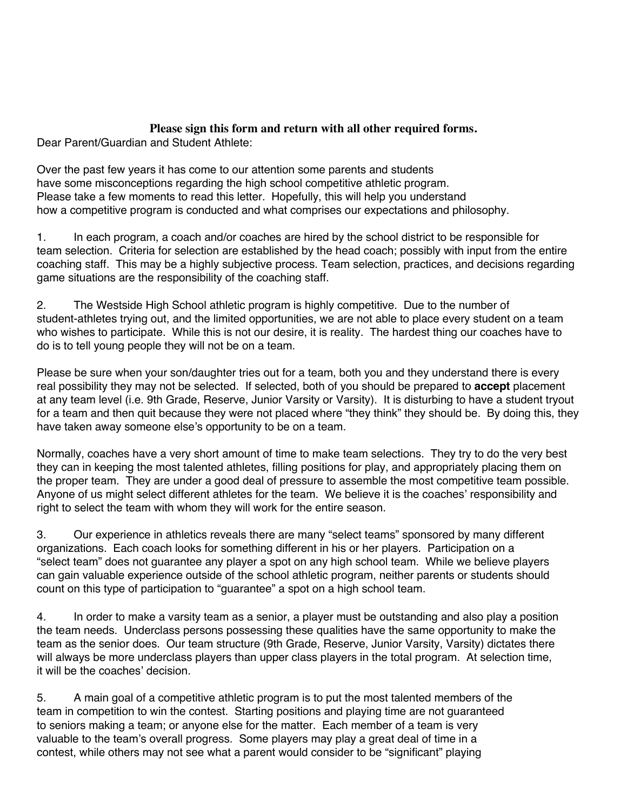## **Please sign this form and return with all other required forms.**

Dear Parent/Guardian and Student Athlete:

Over the past few years it has come to our attention some parents and students have some misconceptions regarding the high school competitive athletic program. Please take a few moments to read this letter. Hopefully, this will help you understand how a competitive program is conducted and what comprises our expectations and philosophy.

1. In each program, a coach and/or coaches are hired by the school district to be responsible for team selection. Criteria for selection are established by the head coach; possibly with input from the entire coaching staff. This may be a highly subjective process. Team selection, practices, and decisions regarding game situations are the responsibility of the coaching staff.

2. The Westside High School athletic program is highly competitive. Due to the number of student-athletes trying out, and the limited opportunities, we are not able to place every student on a team who wishes to participate. While this is not our desire, it is reality. The hardest thing our coaches have to do is to tell young people they will not be on a team.

Please be sure when your son/daughter tries out for a team, both you and they understand there is every real possibility they may not be selected. If selected, both of you should be prepared to **accept** placement at any team level (i.e. 9th Grade, Reserve, Junior Varsity or Varsity). It is disturbing to have a student tryout for a team and then quit because they were not placed where "they think" they should be. By doing this, they have taken away someone else's opportunity to be on a team.

Normally, coaches have a very short amount of time to make team selections. They try to do the very best they can in keeping the most talented athletes, filling positions for play, and appropriately placing them on the proper team. They are under a good deal of pressure to assemble the most competitive team possible. Anyone of us might select different athletes for the team. We believe it is the coaches' responsibility and right to select the team with whom they will work for the entire season.

3. Our experience in athletics reveals there are many "select teams" sponsored by many different organizations. Each coach looks for something different in his or her players. Participation on a "select team" does not guarantee any player a spot on any high school team. While we believe players can gain valuable experience outside of the school athletic program, neither parents or students should count on this type of participation to "guarantee" a spot on a high school team.

4. In order to make a varsity team as a senior, a player must be outstanding and also play a position the team needs. Underclass persons possessing these qualities have the same opportunity to make the team as the senior does. Our team structure (9th Grade, Reserve, Junior Varsity, Varsity) dictates there will always be more underclass players than upper class players in the total program. At selection time, it will be the coaches' decision.

5. A main goal of a competitive athletic program is to put the most talented members of the team in competition to win the contest. Starting positions and playing time are not guaranteed to seniors making a team; or anyone else for the matter. Each member of a team is very valuable to the team's overall progress. Some players may play a great deal of time in a contest, while others may not see what a parent would consider to be "significant" playing